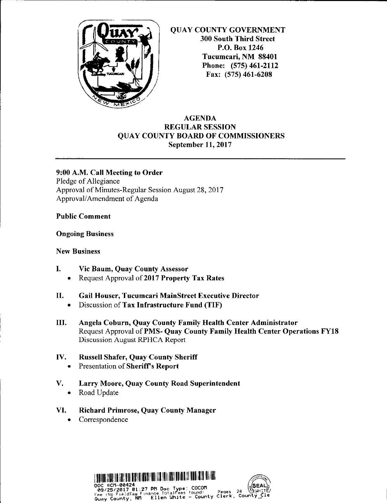

QUAY COUNTY GOVERNMENT 300 South Third Street P.O. Box 1246 Tucumcari, NM 88401 Phone: (575) 461-2112 Fax: (575) 461-6208

#### **AGENDA REGULAR SESSION QUAY COUNTY BOARD OF COMMISSIONERS September 11, 2017**

**9:00 A.M. Call Meeting to Order**  Pledge of Allegiance Approval of Minutes-Regular Session August 28, 2017 Approval/ Amendment of Agenda

#### **Public Comment**

#### **Ongoing Business**

#### **New Business**

- I. **Vic Baum, Quay County Assessor** 
	- Request Approval of **2017 Property Tax Rates**
- II. **Gail Houser, Tucumcari MainStreet Executive Director** 
	- Discussion of **Tax Infrastructure Fund (TIF)**
- III. **Angela Coburn, Quay County Family Health Center Administrator**  Request Approval of **PMS- Quay County Family Health Center Operations FY18**  Discussion August RPHCA Report

### **IV. Russell Shafer, Quay County Sheriff**

- Presentation of **Sheriff's Report**
- **V. Larry Moore, Quay County Road Superintendent** 
	- Road Update
- **VI. Richard Primrose, Quay County Manager** 
	- Correspondence

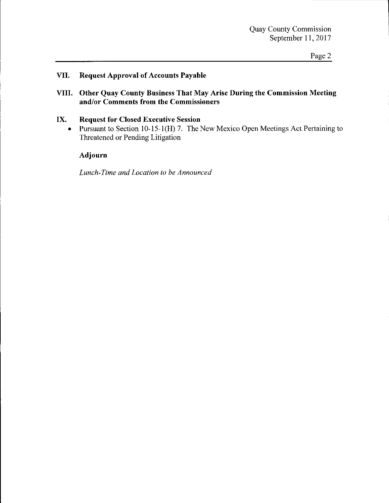#### Page 2

#### **VII. Request Approval of Accounts Payable**

**VIII. Other Quay County Business That May Arise During the Commission Meeting and/or Comments from the Commissioners** 

#### **IX. Request for Closed Executive Session**

• Pursuant to Section 10-15-1(H) 7. The New Mexico Open Meetings Act Pertaining to Threatened or Pending Litigation

#### **Adjourn**

*Lunch-Time and Location to be Announced*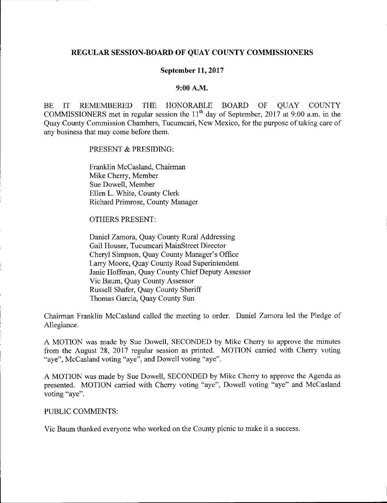#### **REGULAR SESSION-BOARD OF QUAY COUNTY COMMISSIONERS**

#### **September 11, 2017**

#### **9:00 A.M.**

BE IT REMEMBERED THE HONORABLE BOARD OF QUAY COUNTY COMMISSIONERS met in regular session the  $11<sup>th</sup>$  day of September, 2017 at 9:00 a.m. in the Quay County Commission Chambers, Tucumcari, New Mexico, for the purpose of taking care of any business that may come before them.

PRESENT & PRESIDING:

Franklin McCasland, Chairman Mike Cherry, Member Sue Dowell, Member Ellen L. White, County Clerk Richard Primrose, County Manager

OTHERS PRESENT:

Daniel Zamora, Quay County Rural Addressing Gail Houser, Tucumcari MainStreet Director Cheryl Simpson, Quay County Manager's Office Larry Moore, Quay County Road Superintendent Janie Hoffman, Quay County Chief Deputy Assessor Vic Baum, Quay County Assessor Russell Shafer, Quay County Sheriff Thomas Garcia, Quay County Sun

Chairman Franklin Mccasland called the meeting to order. Daniel Zamora led the Pledge of Allegiance.

A MOTION was made by Sue Dowell, SECONDED by Mike Cherry to approve the minutes from the August 28, 2017 regular session as printed. MOTION carried with Cherry voting "aye", McCasland voting "aye", and Dowell voting "aye".

A MOTION was made by Sue Dowell, SECONDED by Mike Cherry to approve the Agenda as presented. MOTION carried with Cherry voting "aye", Dowell voting "aye" and McCasland voting "aye".

#### PUBLIC COMMENTS:

Vic Baum thanked everyone who worked on the County picnic to make it a success.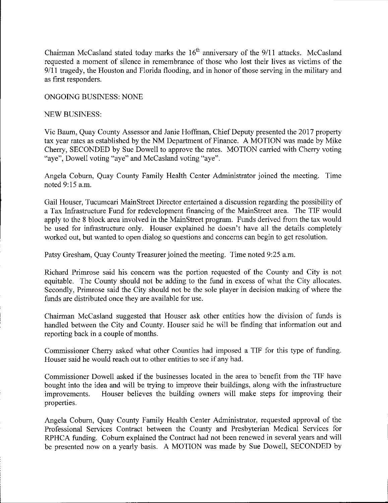Chairman McCasland stated today marks the  $16<sup>th</sup>$  anniversary of the  $9/11$  attacks. McCasland requested a moment of silence in remembrance of those who lost their lives as victims of the  $9/11$  tragedy, the Houston and Florida flooding, and in honor of those serving in the military and as first responders.

ONGOING BUSINESS: NONE

#### NEW BUSINESS:

Vic Baum, Quay County Assessor and Janie Hoffman, Chief Deputy presented the 2017 property tax year rates as established by the NM Department of Finance. A MOTION was made by Mike Cherry, SECONDED by Sue Dowell to approve the rates. MOTION carried with Cherry voting "aye", Dowell voting "aye" and McCasland voting "aye".

Angela Coburn, Quay County Family Health Center Administrator joined the meeting. Time noted 9:15 a.m.

Gail Houser, Tucumcari MainStreet Director entertained a discussion regarding the possibility of a Tax Infrastructure Fund for redevelopment financing of the MainStreet area. The TIF would apply to the 8 block area involved in the MainStreet program. Funds derived from the tax would be used for infrastructure only. Houser explained he doesn't have all the details completely worked out, but wanted to open dialog so questions and concerns can begin to get resolution.

Patsy Gresham, Quay County Treasurer joined the meeting. Time noted 9:25 a.m.

Richard Primrose said his concern was the portion requested of the County and City is not equitable. The County should not be adding to the fund in excess of what the City allocates. Secondly, Primrose said the City should not be the sole player in decision making of where the funds are distributed once they are available for use.

Chairman Mccasland suggested that Houser ask other entities how the division of funds is handled between the City and County. Houser said he will be finding that information out and reporting back in a couple of months.

Commissioner Cherry asked what other Counties had imposed a TIF for this type of funding. Houser said he would reach out to other entities to see if any had.

Commissioner Dowell asked if the businesses located in the area to benefit from the TIF have bought into the idea and will be trying to improve their buildings, along with the infrastructure improvements. Houser believes the building owners will make steps for improving their properties.

Angela Coburn, Quay County Family Health Center Administrator, requested approval of the Professional Services Contract between the County and Presbyterian Medical Services for RPHCA funding. Coburn explained the Contract had not been renewed in several years and will be presented now on a yearly basis. A MOTION was made by Sue Dowell, SECONDED by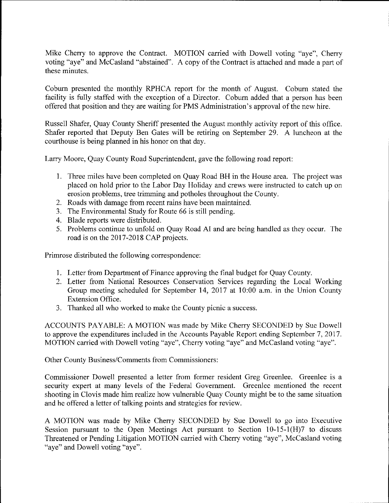Mike Cherry to approve the Contract. MOTION carried with Dowell voting "aye", Cherry voting "aye" and McCasland "abstained". A copy of the Contract is attached and made a part of these minutes.

Coburn presented the monthly RPHCA report for the month of August. Coburn stated the facility is fully staffed with the exception of a Director. Coburn added that a person has been offered that position and they are waiting for PMS Administration's approval of the new hire.

Russell Shafer, Quay County Sheriff presented the August monthly activity report of this office. Shafer reported that Deputy Ben Gates will be retiring on September 29. A luncheon at the courthouse is being planned in his honor on that day.

Larry Moore, Quay County Road Superintendent, gave the following road report:

- I. Three miles have been completed on Quay Road BH in the House area. The project was placed on hold prior to the Labor Day Holiday and crews were instructed to catch up on erosion problems, tree trimming and potholes throughout the County.
- 2. Roads with damage from recent rains have been maintained.
- 3. The Environmental Study for Route 66 is still pending.
- 4. Blade reports were distributed.
- 5. Problems continue to unfold on Quay Road AI and are being handled as they occur. The road is on the 2017-2018 CAP projects.

Primrose distributed the following correspondence:

- I. Letter from Department of Finance approving the final budget for Quay County.
- 2. Letter from National Resources Conservation Services regarding the Local Working Group meeting scheduled for September 14, 2017 at 10:00 a.m. in the Union County Extension Office.
- 3. Thanked all who worked to make the County picnic a success.

ACCOUNTS PAY ABLE: A MOTION was made by Mike Cherry SECONDED by Sue Dowell to approve the expenditures included in the Accounts Payable Report ending September 7, 2017. MOTION carried with Dowell voting "aye", Cherry voting "aye" and McCasland voting "aye".

Other County Business/Comments from Commissioners:

Commissioner Dowell presented a letter from former resident Greg Greenlee. Greenlee is a security expert at many levels of the Federal Government. Greenlee mentioned the recent shooting in Clovis made him realize how vulnerable Quay County might be to the same situation and he offered a letter of talking points and strategies for review.

A MOTION was made by Mike Cherry SECONDED by Sue Dowell to go into Executive Session pursuant to the Open Meetings Act pursuant to Section  $10-15-1$  (H)7 to discuss Threatened or Pending Litigation MOTION carried with Cherry voting "aye", Mccasland voting "aye" and Dowell voting "aye".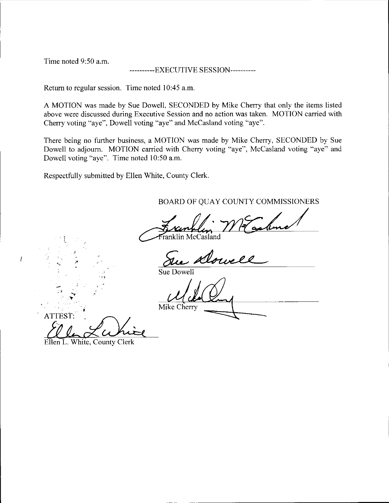Time noted 9:50 a.m.

----------EXECUTIVE SESSION----------

Return to regular session. Time noted 10:45 a.m.

A MOTION was made by Sue Dowell, SECONDED by Mike Cherry that only the items listed above were discussed during Executive Session and no action was taken. MOTION carried with Cherry voting "aye", Dowell voting "aye" and McCasland voting "aye".

There being no further business, a MOTION was made by Mike Cherry, SECONDED by Sue Dowell to adjourn. MOTION carried with Cherry voting "aye", McCasland voting "aye" and Dowell voting "aye". Time noted 10:50 a.m.

Respectfully submitted by Ellen White, County Clerk.

BOARD OF QUAY COUNTY COMMISSIONERS

Franklin McCasland

Dowe

Sue Dowell

ATTEST: Mike Cherry

Ellen L. White, County Clerk

,.

 $\mathcal{D}_{\mathcal{A}}$ 

 $\overline{\ell}$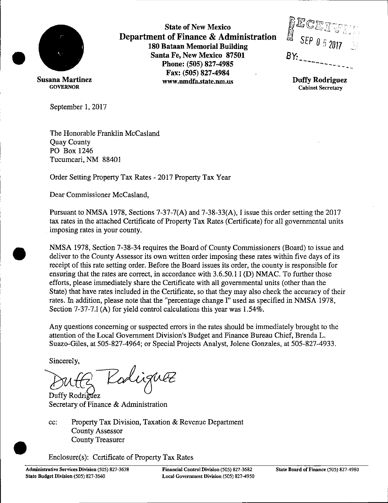

**State of New Mexico Department of Finance & Administration 180 Bataan Memorial Building Santa Fe, New Mexico 87501 Phone: (505) 827-4985 Fax: (505) 827-4984 www.nmdfa.state.nm.us** 

i ;:::,u"· 'i)? *(rJ* 'irJ ·,-c- -- -· . **l t!Jl..:J ...** *':.;.7•* ' ' **'fj c:.....\_** .. -~ *,;J* I/ 1\_ .., ' *SEP O* :'i *20/l BY:\_* -----------

**Duffy Rodriguez Cabinet Secretary** 

September 1, 2017

**Susana Martinez**  GOVERNOR

> The Honorable Franklin Mccasland Quay County PO Box 1246 Tucumcari, NM 88401

Order Setting Property Tax Rates - 2017 Property Tax Year

Dear Commissioner Mccasland,

Pursuant to NMSA 1978, Sections 7-37-7(A) and 7-38-33(A), I issue this order setting the 2017 tax rates in the attached Certificate of Property Tax Rates (Certificate) for all governmental units imposing rates in your county.

**NMSA** 1978, Section 7-38-34 requires the Board of County Commissioners (Board) to issue and deliver to the County Assessor its own written order imposing these rates within five days of its receipt of this rate setting order. Before the Board issues its order, the county is responsible for ensuring that the rates are correct, in accordance with 3.6.50.1 1 (D) NMAC. To further those efforts, please immediately share the Certificate with all governmental units ( other than the State) that have rates included in the Certificate, so that they may also check the accuracy of their rates. In addition, please note that the "percentage change I" used as specified in **NMSA** 1978, Section 7-37-7.1 (A) for yield control calculations this year was 1.54%.

Any questions concerning or suspected errors in the rates should be immediately brought to the attention of the Local Government Division's Budget and Finance Bureau Chief, Brenda L. Suazo-Giles, at 505-827-4964; or Special Projects Analyst, Jolene Gonzales, at 505-827-4933.

Sincerely,

•

Dutte Radiguez<br>Duffy Rodriguez<br>Secretary of Finance & Administration

cc: Property Tax Division, Taxation & Revenue Department County Assessor County Assessor<br>County Treasurer<br>Enclosure(s): Certificate<br>Administrative Services Division (505) 827-363

Enclosure(s): Certificate of Property Tax Rates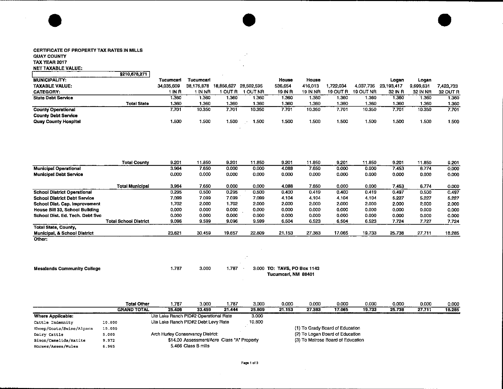#### CERTIFICATE OF PROPERTY TAX RATES IN MILLS QUAY COUNTY TAX YEAR 2017 NET TAXABLE VALUE:

•

--------

|                            | \$210,678,271      |            |            |            |            |         |          |          |           |            |           |          |
|----------------------------|--------------------|------------|------------|------------|------------|---------|----------|----------|-----------|------------|-----------|----------|
| <b>MUNICIPALITY:</b>       |                    | Tucumcari  | Tucumcari  |            |            | House   | House    |          |           | Logan      | Logan     |          |
| <b>TAXABLE VALUE:</b>      |                    | 34,035,609 | 38.176.878 | 18.856.627 | 28.502.595 | 536,654 | 416.013  | 722.034  | 4.037.735 | 23.193.417 | 9,699,631 | 7423.733 |
| <b>CATEGORY:</b>           |                    | 1 IN R     | IN NR      | I OUT R    | 1 OUT NR   | 19 IN R | 19 IN NR | 19 OUT R | 19 OUT NR | 32 IN R    | 32 IN NR  | 32 OUT R |
| <b>State Debt Service</b>  |                    | 1.360      | 1.360      | 1.360      | 1.360      | 1.360   | 1.360    | 1.360    | .360      | 1.360      | 1.360     | 1.360    |
|                            | <b>Total State</b> | 1.360      | 1.360      | 1.360      | 1.360      | 1.360   | 1.360    | 1.360    | 1.360     | 1.360      | 1.360     | 1.360    |
| <b>County Operational</b>  |                    | 7.701      | 10.350     | 7.701      | 10.350     | 7.701   | 10.350   | 7.701    | 10.350    | 7.701      | 10.350    | 7.701    |
| <b>County Debt Service</b> |                    |            |            |            |            |         |          |          |           |            |           |          |
| Quay County Hospital       |                    | 1,500      | 1.500      | 1.500      | 1.500      | 1.500   | 1.500    | 1.500    | .500      | 1.500      | 1.500     | 1.500    |
|                            |                    |            |            |            |            |         |          |          |           |            |           |          |

 $\mathbb{R}^2$  $\mathcal{L}$ 

 $\bullet$ 

•

|                                         | <b>Total County</b>          | 9.201  | 11.850 | 9.201  | 11.850 | 9.201  | 11.850 | 9.201  | 11.850 | 9.201  | 11.850 | 9.201  |
|-----------------------------------------|------------------------------|--------|--------|--------|--------|--------|--------|--------|--------|--------|--------|--------|
| <b>Municipal Operational</b>            |                              | 3.964  | 7.650  | 0.000  | 0.000  | 4,088  | 7.650  | 0.000  | 0.000  | 7.453  | 6.774  | 0.000  |
| <b>Municipal Debt Service</b>           |                              | 0.000  | 0.000  | 0.000  | 0.000  | 0.000  | 0.000  | 0.000  | 0.000  | 0.000  | 0.000  | 0.000  |
|                                         | <b>Total Municipal</b>       | 3.964  | 7.650  | 0.000  | 0.000  | 4.088  | 7.650  | 0.000  | 0.000  | 7.453  | 6.774  | 0.000  |
| <b>School District Operational</b>      |                              | 0.295  | 0.500  | 0.295  | 0.500  | 0.400  | 0.419  | 0.400  | 0.419  | 0.497  | 0.500  | 0.497  |
| <b>School District Debt Service</b>     |                              | 7.099  | 7.099  | 7.099  | 7.099  | 4.104  | 4.104  | 4.104  | 4.104  | 5.227  | 5.227  | 5.227  |
| School Dist. Cap. Improvement           |                              | 1.702  | 2.000  | 1.702  | 2.000  | 2.000  | 2.000  | 2.000  | 2.000  | 2,000  | 2.000  | 2.000  |
| House Bill 33, School Building          |                              | 0.000  | 0.000  | 0.000  | 0.000  | 0.000  | 0.000  | 0.000  | 0.000  | 0.000  | 0.000  | 0.000  |
| School Dist. Ed. Tech. Debt Svc         |                              | 0.000  | 0.000  | 0.000  | 0.000  | 0.000  | 0.000  | 0.000  | 0.000  | 0.000  | 0.000  | 0.000  |
|                                         | <b>Total School District</b> | 9.096  | 9.599  | 9.096  | 9.599  | 6.504  | 6.523  | 6.504  | 6.523  | 7.724  | 7.727  | 7.724  |
| <b>Total State, County,</b>             |                              |        |        |        |        |        |        |        |        |        |        |        |
| <b>Municipal, &amp; School District</b> |                              | 23.621 | 30.459 | 19.657 | 22.809 | 21.153 | 27.383 | 17.065 | 19.733 | 25.738 | 27.711 | 18.285 |
| Other:                                  |                              |        |        |        |        |        |        |        |        |        |        |        |

| <b>Mesalands Community College</b> | 1.787 | 3.000 | 1.787 | 3.000 TO: TAVS, PO Box 1143<br>Tucumcari, NM 88401 |
|------------------------------------|-------|-------|-------|----------------------------------------------------|

|                          | <b>Total Other</b> | 1.787                                 | 3.000                                      | 1.787  | 3.000  | 0.000  | 0.000                             | 0.000                           | 0.000  | 0.000  | 0.000  | 0.000  |
|--------------------------|--------------------|---------------------------------------|--------------------------------------------|--------|--------|--------|-----------------------------------|---------------------------------|--------|--------|--------|--------|
|                          | <b>GRAND TOTAL</b> | 25.408                                | 33.459                                     | 21.444 | 25.809 | 21.153 | 27.383                            | 17.065                          | 19,733 | 25.738 | 27.711 | 18.285 |
| <b>Where Applicable:</b> |                    | Ute Lake Ranch PID#2 Operational Rate |                                            |        | 3.000  |        |                                   |                                 |        |        |        |        |
| Cattle Indemnity         | 10.000             | Ute Lake Ranch PID#2 Debt Levy Rate   |                                            |        | 10,800 |        |                                   |                                 |        |        |        |        |
| Sheep/Goats/Swine/Alpaca | 10.000             |                                       |                                            |        |        |        |                                   | (1) To Grady Board of Education |        |        |        |        |
| Dairy Cattle             | 5.000              | Arch Hurley Conservancy District:     |                                            |        |        |        | (2) To Logan Board of Education   |                                 |        |        |        |        |
| Bison/Camelids/Ratite    | 9.972              |                                       | \$14.00 Assessment/Acre Class "A" Property |        |        |        | (3) To Melrose Board of Education |                                 |        |        |        |        |
| Horses/Asses/Mules       | 6.965              |                                       | 5.466 Class B mills                        |        |        |        |                                   |                                 |        |        |        |        |

 $\sim 10^{-1}$ 

 $\sim 10^{-1}$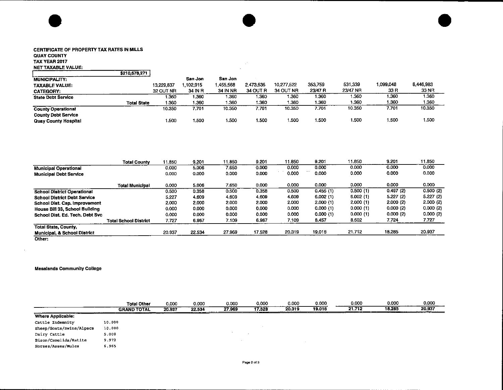# • CERTIFICATE OF PROPERTY TAX RATES IN MILLS

#### QUAY COUNTY

#### TAX YEAR 2017 NET TAXABLE VALUE:

|                             | \$210,678,271      |            |         |                 |           |            |         |          |           |           |
|-----------------------------|--------------------|------------|---------|-----------------|-----------|------------|---------|----------|-----------|-----------|
| <b>MUNICIPALITY:</b>        |                    |            | San Jon | San Jon         |           |            |         |          |           |           |
| <b>TAXABLE VALUE:</b>       |                    | 13.229.837 | 102,915 | .455.568        | 2.473,535 | 10.277.522 | 353,759 | 531.339  | 1.099.048 | 8,446,983 |
| <b>CATEGORY:</b>            |                    | 32 OUT NR  | 34 IN R | <b>34 IN NR</b> | 34 OUT R  | 34 OUT NR  | 23/47 R | 23/47 NR | 33 R      | 33 NR     |
| <b>State Debt Service</b>   |                    | 1.360      | 1.360   | 1.360           | 1.360     | 1.360      | 1.360   | 1.360    | 1.360     | 1.360     |
|                             | <b>Total State</b> | 1.360      | 1.360   | 1.360           | 1.360     | 1.360      | 1.360   | 1.360    | 1,360     | 1.360     |
| <b>County Operational</b>   |                    | 10.350     | 7.701   | 10.350          | 7.701     | 10.350     | 7.701   | 10.350   | 7.701     | 10.350    |
| <b>County Debt Service</b>  |                    |            |         |                 |           |            |         |          |           |           |
| <b>Quay County Hospital</b> |                    | i 500      | 1.500   | 1.500           | 1.500     | 1.500      | 1.500   | 1.500    | 1.500     | 1.500     |
|                             |                    |            |         |                 |           |            |         |          |           |           |

 $\mathcal{A}$  $\bar{z}$ 

 $\bullet$   $\bullet$   $\bullet$ 

|                                         | <b>Total County</b>   | 11.850 | 9.201  | 11.850 | 9.201  | 11.850 | 9.201    | 11.850   | 9.201    | 11.850   |
|-----------------------------------------|-----------------------|--------|--------|--------|--------|--------|----------|----------|----------|----------|
| <b>Municipal Operational</b>            |                       | 0.000  | 5.006  | 7.650  | 0.000  | 0.000  | 0.000    | 0.000    | 0.000    | 0.000    |
| <b>Municipal Debt Service</b>           |                       | 0.000  | 0.000  | 0.000  | 0.000  | 0.000  | 0.000    | 0.000    | 0.000    | 0.000    |
|                                         | Total Municipal       | 0.000  | 5.006  | 7.650  | 0.000  | 0.000  | 0.000    | 0.000    | 0.000    | 0.000    |
| <b>School District Operational</b>      |                       | 0.500  | 0.358  | 0.500  | 0.358  | 0.500  | 0.455(1) | 0.500(1) | 0.497(2) | 0.500(2) |
| <b>School District Debt Service</b>     |                       | 5.227  | 4.609  | 4.609  | 4.609  | 4,609  | 6.002(1) | 6.002(1) | 5.227(2) | 5.227(2) |
| School Dist. Cap. Improvement           |                       | 2,000  | 2.000  | 2.000  | 2.000  | 2.000  | 2,000(1) | 2.000(1) | 2,000(2) | 2.000(2) |
| House Bill 33, School Building          |                       | 0.000  | 0.000  | 0.000  | 0.000  | 0.000  | 0.000(1) | 0.000(1) | 0.000(2) | 0.000(2) |
| School Dist, Ed. Tech. Debt Svc.        |                       | 0.000  | 0.000  | 0.000  | 0.000  | 0.000  | 0.000(1) | 0.000(1) | 0.000(2) | 0.000(2) |
|                                         | Total School District | 7.727  | 6.967  | 7.109  | 6.967  | 7.109  | 8.457    | 8.502    | 7.724    | 7.727    |
| <b>Total State, County,</b>             |                       |        |        |        |        |        |          |          |          |          |
| <b>Municipal, &amp; School District</b> |                       | 20.937 | 22.534 | 27.969 | 17.528 | 20,319 | 19.018   | 21.712   | 18.285   | 20.937   |
|                                         |                       |        |        |        |        |        |          |          |          |          |

Other:

 $\bar{\mathbf{v}}$ 

#### Mesalands Community College

|                           | <b>Total Other</b> | 0.000  | 0.000                                        | 0.000  | 0.000           | 0.000  | 0.000  | 0.000  | 0.000  | 0.000  |
|---------------------------|--------------------|--------|----------------------------------------------|--------|-----------------|--------|--------|--------|--------|--------|
|                           | <b>GRAND TOTAL</b> | 20.937 | 22.534<br>products and continued to the con- | 27.969 | 17.528<br>_____ | 20.319 | 19,018 | 21.712 | 18.285 | 20,937 |
| ____<br>Where Applicable: |                    |        |                                              |        |                 |        |        |        |        |        |
| Cattle Indemnity          | 10.000             |        |                                              |        |                 |        |        |        |        |        |
| Sheep/Goats/Swine/Alpaca  | 10.000             |        |                                              |        |                 |        |        |        |        |        |
| Dairy Cattle              | 5.000              |        |                                              |        |                 |        |        |        |        |        |
| Bison/Camelids/Ratite     | 9.972              |        |                                              |        |                 |        |        |        |        |        |
| Horses/Asses/Mules        | 6.965              |        |                                              |        |                 |        |        |        |        |        |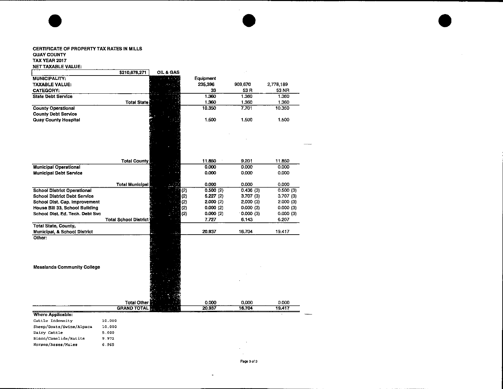# • CERTIFICATE OF PROPERTY TAX RATES IN MILLS QUAY COUNTY TAX YEAR 2017

#### NET TAXABLE VALUE,

|                                                             | \$210,678,271                | <b>OIL &amp; GAS</b> |           |          |           |
|-------------------------------------------------------------|------------------------------|----------------------|-----------|----------|-----------|
| MUNICIPALITY:                                               |                              |                      | Equipment |          |           |
| <b>TAXABLE VALUE:</b>                                       |                              |                      | 235,396   | 909,670  | 2,778,189 |
| <b>CATEGORY:</b>                                            |                              |                      | 33        | 53 R     | 53 NR     |
| <b>State Debt Service</b>                                   |                              |                      | 1.360     | 1.360    | 1.360     |
|                                                             | <b>Total State</b>           |                      | 1.360     | 1.360    | 1.360     |
| <b>County Operational</b>                                   |                              |                      | 10.350    | 7.701    | 10.350    |
| <b>County Debt Service</b>                                  |                              |                      |           |          |           |
| <b>Quay County Hospital</b>                                 |                              |                      | 1.500     | 1.500    | 1.500     |
|                                                             |                              |                      |           |          |           |
|                                                             | <b>Total County</b>          |                      | 11.850    | 9.201    | 11.850    |
| <b>Municipal Operational</b>                                |                              |                      | 0.000     | 0.000    | 0.000     |
| <b>Municipal Debt Service</b>                               |                              |                      | 0.000     | 0.000    | 0.000     |
|                                                             | <b>Total Municipal</b>       |                      | 0.000     | 0.000    | 0.000     |
| <b>School District Operational</b>                          |                              | (2)                  | 0.500(2)  | 0.436(3) | 0.500(3)  |
| <b>School District Debt Service</b>                         |                              | (2)                  | 5.227(2)  | 3.707(3) | 3.707(3)  |
| School Dist. Cap. Improvement                               |                              | (2)                  | 2.000(2)  | 2.000(3) | 2.000(3)  |
| House Bill 33, School Building                              |                              | (2)                  | 0.000(2)  | 0.000(3) | 0.000(3)  |
| School Dist, Ed. Tech. Debt Svc                             |                              | (2)                  | 0.000(2)  | 0.000(3) | 0.000(3)  |
|                                                             | <b>Total School District</b> |                      | 7.727     | 6.143    | 6.207     |
| <b>Total State, County,</b><br>Municipal, & School District |                              |                      | 20.937    | 16,704   | 19.417    |
| Other:<br><b>Mesalands Community College</b>                | <b>Total Other</b>           |                      | 0.000     | 0,000    | 0.000     |
|                                                             | <b>GRAND TOTAL</b>           |                      | 20.937    | 16.704   | 19.417    |
| Where Applicable:                                           |                              |                      |           |          |           |
| Cattle Indemnity                                            | 10.000                       |                      |           |          |           |
| Sheep/Goats/Swine/Alpaca                                    | 10,000                       |                      |           |          |           |
| Dairy Cattle                                                | 5.000                        |                      |           |          |           |
| Bison/Camelids/Ratite                                       | 9.972                        |                      |           |          |           |
| Horses/Asses/Mules                                          | 6.965                        |                      |           |          |           |
|                                                             |                              |                      |           |          |           |

 $\sim$ 

 $\downarrow$ 

 $\bullet$   $\bullet$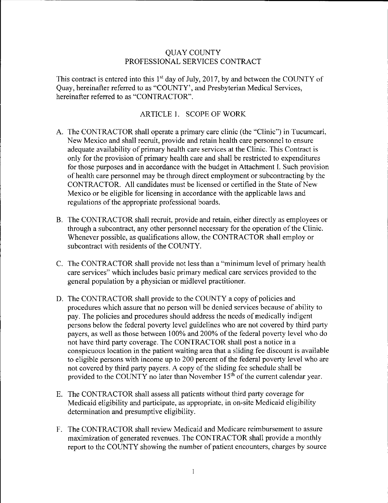#### QUAY COUNTY PROFESSIONAL SERVICES CONTRACT

This contract is entered into this  $1<sup>st</sup>$  day of July, 2017, by and between the COUNTY of Quay, hereinafter referred to as "COUNTY', and Presbyterian Medical Services, hereinafter referred to as "CONTRACTOR".

#### ARTICLE I. SCOPE OF WORK

- A. The CONTRACTOR shall operate a primary care clinic (the "Clinic") in Tucumcari, New Mexico and shall recruit, provide and retain health care personnel to ensure adequate availability of primary health care services at the Clinic. This Contract is only for the provision of primary health care and shall be restricted to expenditures for those purposes and in accordance with the budget in Attachment I. Such provision of health care personnel may be through direct employment or subcontracting by the CONTRACTOR. All candidates must be licensed or certified in the State of New Mexico or be eligible for licensing in accordance with the applicable laws and regulations of the appropriate professional boards.
- B. The CONTRACTOR shall recruit, provide and retain, either directly as employees or through a subcontract, any other personnel necessary for the operation of the Clinic. Whenever possible, as qualifications allow, the CONTRACTOR shall employ or subcontract with residents of the COUNTY.
- C. The CONTRACTOR shall provide not less than a "minimum level of primary health care services" which includes basic primary medical care services provided to the general population by a physician or midlevel practitioner.
- D. The CONTRACTOR shall provide to the COUNTY a copy of policies and procedures which assure that no person will be denied services because of ability to pay. The policies and procedures should address the needs of medically indigent persons below the federal poverty level guidelines who are not covered by third party payers, as well as those between 100% and 200% of the federal poverty level who do not have third party coverage. The CONTRACTOR shall post a notice in a conspicuous location in the patient waiting area that a sliding fee discount is available to eligible persons with income up to 200 percent of the federal poverty level who are not covered by third party payers. A copy of the sliding fee schedule shall be provided to the COUNTY no later than November 15<sup>th</sup> of the current calendar year.
- E. The CONTRACTOR shall assess all patients without third party coverage for Medicaid eligibility and participate, as appropriate, in on-site Medicaid eligibility determination and presumptive eligibility.
- F. The CONTRACTOR shall review Medicaid and Medicare reimbursement to assure maximization of generated revenues. The CONTRACTOR shall provide a monthly report to the COUNTY showing the number of patient encounters, charges by source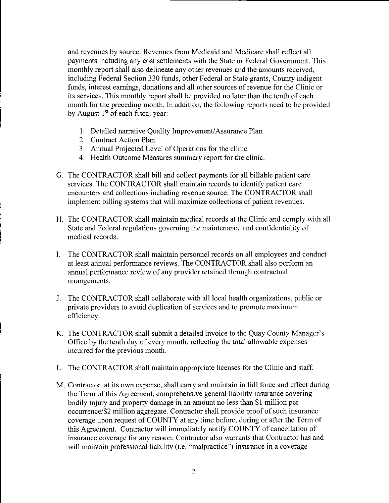and revenues by source. Revenues from Medicaid and Medicare shall reflect all payments including any cost settlements with the State or Federal Government. This monthly report shall also delineate any other revenues and the amounts received, including Federal Section 330 funds, other Federal or State grants, County indigent funds, interest earnings, donations and all other sources of revenue for the Clinic or its services. This monthly report shall be provided no later than the tenth of each month for the preceding month. In addition, the following reports need to be provided by August  $1<sup>st</sup>$  of each fiscal year:

- 1. Detailed narrative Quality Improvement/Assurance Plan
- 2. Contract Action Plan
- 3. Annual Projected Level of Operations for the clinic
- 4. Health Outcome Measures summary report for the clinic.
- G. The CONTRACTOR shall bill and collect payments for all billable patient care services. The CONTRACTOR shall maintain records to identify patient care encounters and collections including revenue source. The CONTRACTOR shall implement billing systems that will maximize collections of patient revenues.
- H. The CONTRACTOR shall maintain medical records at the Clinic and comply with all State and Federal regulations governing the maintenance and confidentiality of medical records.
- I. The CONTRACTOR shall maintain personnel records on all employees and conduct at least annual performance reviews. The CONTRACTOR shall also perform an annual performance review of any provider retained through contractual arrangements.
- J. The CONTRACTOR shall collaborate with all local health organizations, public or private providers to avoid duplication of services and to promote maximum efficiency.
- K. The CONTRACTOR shall submit a detailed invoice to the Quay County Manager's Office by the tenth day of every month, reflecting the total allowable expenses incurred for the previous month.
- L. The CONTRACTOR shall maintain appropriate licenses for the Clinic and staff.
- M. Contractor, at its own expense, shall carry and maintain in full force and effect during the Term of this Agreement, comprehensive general liability insurance covering bodily injury and property damage in an amount no less than \$1 million per occurrence/\$2 million aggregate. Contractor shall provide proof of such insurance coverage upon request of COUNTY at any time before, during or after the Term of this Agreement. Contractor will immediately notify COUNTY of cancellation of insurance coverage for any reason. Contractor also warrants that Contractor has and will maintain professional liability (i.e. "malpractice") insurance in a coverage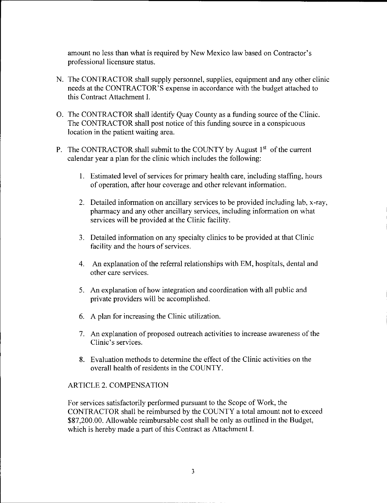amount no less than what is required by New Mexico law based on Contractor's professional licensure status.

- N. The CONTRACTOR shall supply personnel, supplies, equipment and any other clinic needs at the CONTRACTOR'S expense in accordance with the budget attached to this Contract Attachment I.
- 0. The CONTRACTOR shall identify Quay County as a funding source of the Clinic. The CONTRACTOR shall post notice of this funding source in a conspicuous location in the patient waiting area.
- P. The CONTRACTOR shall submit to the COUNTY by August  $1<sup>st</sup>$  of the current calendar year a plan for the clinic which includes the following:
	- 1. Estimated level of services for primary health care, including staffing, hours of operation, after hour coverage and other relevant information.
	- 2. Detailed information on ancillary services to be provided including lab, x-ray, pharmacy and any other ancillary services, including information on what services will be provided at the Clinic facility.
	- 3. Detailed information on any specialty clinics to be provided at that Clinic facility and the hours of services.
	- 4. An explanation of the referral relationships with EM, hospitals, dental and other care services.
	- 5. An explanation of how integration and coordination with all public and private providers will be accomplished.
	- 6. A plan for increasing the Clinic utilization.
	- 7. An explanation of proposed outreach activities to increase awareness of the Clinic's services.
	- 8. Evaluation methods to determine the effect of the Clinic activities on the overall health of residents in the COUNTY.

#### ARTICLE 2. COMPENSATION

For services satisfactorily performed pursuant to the Scope of Work, the CONTRACTOR shall be reimbursed by the COUNTY a total amount not to exceed \$87,200.00. Allowable reimbursable cost shall be only as outlined in the Budget, which is hereby made a part of this Contract as Attachment I.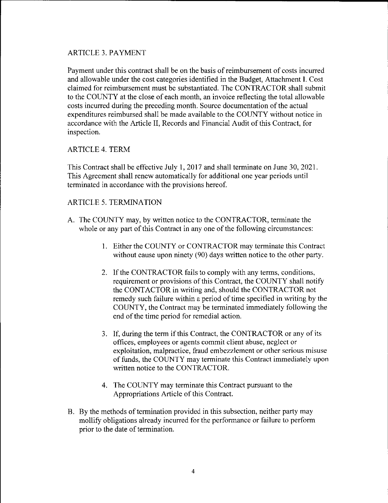#### ARTICLE 3. PAYMENT

Payment under this contract shall be on the basis of reimbursement of costs incurred and allowable under the cost categories identified in the Budget, Attachment I. Cost claimed for reimbursement must be substantiated. The CONTRACTOR shall submit to the COUNTY at the close of each month, an invoice reflecting the total allowable costs incurred during the preceding month. Source documentation of the actual expenditures reimbursed shall be made available to the COUNTY without notice in accordance with the Article II, Records and Financial Audit of this Contract, for inspection.

#### ARTICLE 4. TERM

This Contract shall be effective July I, 2017 and shall terminate on June 30, 2021. This Agreement shall renew automatically for additional one year periods until terminated in accordance with the provisions hereof.

#### ARTICLE 5. TERMINATION

- A. The COUNTY may, by written notice to the CONTRACTOR, terminate the whole or any part of this Contract in any one of the following circumstances:
	- I. Either the COUNTY or CONTRACTOR may terminate this Contract without cause upon ninety (90) days written notice to the other party.
	- 2. If the CONTRACTOR fails to comply with any terms, conditions, requirement or provisions of this Contract, the COUNTY shall notify the CONT ACTOR in writing and, should the CONTRACTOR not remedy such failure within a period of time specified in writing by the COUNTY, the Contract may be terminated immediately following the end of the time period for remedial action.
	- 3. If, during the term if this Contract, the CONTRACTOR or any of its offices, employees or agents commit client abuse, neglect or exploitation, malpractice, fraud embezzlement or other serious misuse of funds, the COUNTY may terminate this Contract immediately upon written notice to the CONTRACTOR.
	- 4. The COUNTY may terminate this Contract pursuant to the Appropriations Article of this Contract.
- B. By the methods of termination provided in this subsection, neither party may mollify obligations already incurred for the performance or failure to perform prior to the date of termination.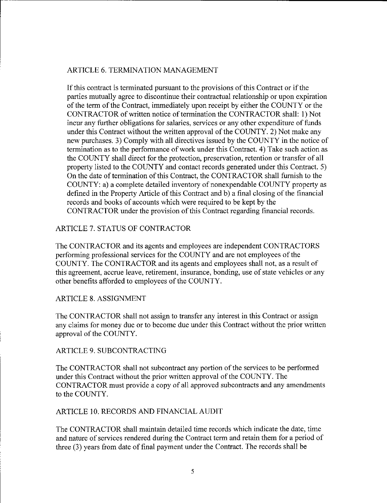#### ARTICLE 6. TERMINATION MANAGEMENT

If this contract is terminated pursuant to the provisions of this Contract or if the parties mutually agree to discontinue their contractual relationship or upon expiration of the term of the Contract, immediately upon receipt by either the COUNTY or the CONTRACTOR of written notice of termination the CONTRACTOR shall: I) Not incur any further obligations for salaries, services or any other expenditure of funds under this Contract without the written approval of the COUNTY. 2) Not make any new purchases. 3) Comply with all directives issued by the COUNTY in the notice of termination as to the performance of work under this Contract. 4) Take such action as the COUNTY shall direct for the protection, preservation, retention or transfer of all property listed to the COUNTY and contact records generated under this Contract. 5) On the date of termination of this Contract, the CONTRACTOR shall furnish to the COUNTY: a) a complete detailed inventory of nonexpendable COUNTY property as defined in the Property Article of this Contract and b) a final closing of the financial records and books of accounts which were required to be kept by the CONTRACTOR under the provision of this Contract regarding financial records.

#### ARTICLE 7. STATUS OF CONTRACTOR

The CONTRACTOR and its agents and employees are independent CONTRACTORS performing professional services for the COUNTY and are not employees of the COUNTY. The CONTRACTOR and its agents and employees shall not, as a result of this agreement, accrue leave, retirement, insurance, bonding, use of state vehicles or any other benefits afforded to employees of the COUNTY.

#### ARTICLE 8. ASSIGNMENT

The CONTRACTOR shall not assign to transfer any interest in this Contract or assign any claims for money due or to become due under this Contract without the prior written approval of the COUNTY.

#### ARTICLE 9. SUBCONTRACTING

The CONTRACTOR shall not subcontract any portion of the services to be performed under this Contract without the prior written approval of the COUNTY. The CONTRACTOR must provide a copy of all approved subcontracts and any amendments to the COUNTY.

#### ARTICLE 10. RECORDS AND FINANCIAL AUDIT

The CONTRACTOR shall maintain detailed time records which indicate the date, time and nature of services rendered during the Contract term and retain them for a period of three (3) years from date of final payment under the Contract. The records shall be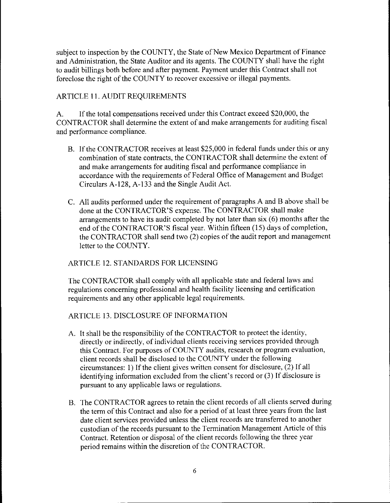subject to inspection by the COUNTY, the State of New Mexico Department of Finance and Administration, the State Auditor and its agents. The COUNTY shall have the right to audit billings both before and after payment. Payment under this Contract shall not foreclose the right of the COUNTY to recover excessive or illegal payments.

#### ARTICLE 11. AUDIT REQUIREMENTS

A. If the total compensations received under this Contract exceed \$20,000, the CONTRACTOR shall determine the extent of and make arrangements for auditing fiscal and performance compliance.

- B. If the CONTRACTOR receives at least \$25,000 in federal funds under this or any combination of state contracts, the CONTRACTOR shall determine the extent of and make arrangements for auditing fiscal and performance compliance in accordance with the requirements of Federal Office of Management and Budget Circulars A-128, A-133 and the Single Audit Act.
- C. All audits performed under the requirement of paragraphs A and B above shall be done at the CONTRACTOR'S expense. The CONTRACTOR shall make arrangements to have its audit completed by not later than six (6) months after the end of the CONTRACTOR'S fiscal year. Within fifteen (15) days of completion, the CONTRACTOR shall send two (2) copies of the audit report and management letter to the COUNTY.

#### ARTICLE 12. STANDARDS FOR LICENSING

The CONTRACTOR shall comply with all applicable state and federal laws and regulations concerning professional and health facility licensing and certification requirements and any other applicable legal requirements.

ARTICLE 13. DISCLOSURE OF INFORMATION

- A. It shall be the responsibility of the CONTRACTOR to protect the identity, directly or indirectly, of individual clients receiving services provided through this Contract. For purposes of COUNTY audits, research or program evaluation, client records shall be disclosed to the COUNTY under the following circumstances: I) If the client gives written consent for disclosure, (2) If all identifying information excluded from the client's record or (3) If disclosure is pursuant to any applicable laws or regulations.
- B. The CONTRACTOR agrees to retain the client records of all clients served during the term of this Contract and also for a period of at least three years from the last date client services provided unless the client records are transferred to another custodian of the records pursuant to the Termination Management Article of this Contract. Retention or disposal of the client records following the three year period remains within the discretion of the CONTRACTOR.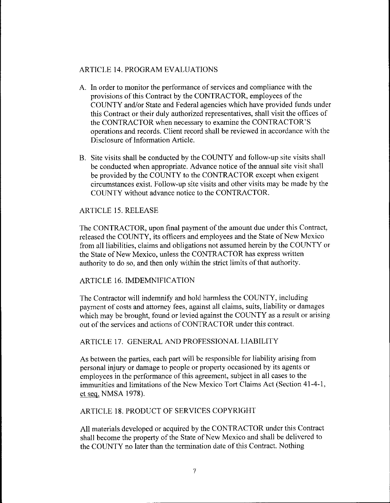#### ARTICLE 14. PROGRAM EVALUATIONS

- A. In order to monitor the performance of services and compliance with the provisions of this Contract by the CONTRACTOR, employees of the COUNTY and/or State and Federal agencies which have provided funds under this Contract or their duly authorized representatives, shall visit the offices of the CONTRACTOR when necessary to examine the CONTRACTOR'S operations and records. Client record shall be reviewed in accordance with the Disclosure of Information Article.
- B. Site visits shall be conducted by the COUNTY and follow-up site visits shall be conducted when appropriate. Advance notice of the annual site visit shall be provided by the COUNTY to the CONTRACTOR except when exigent circumstances exist. Follow-up site visits and other visits may be made by the COUNTY without advance notice to the CONTRACTOR.

#### ARTICLE 15. RELEASE

The CONTRACTOR, upon final payment of the amount due under this Contract, released the COUNTY, its officers and employees and the State of New Mexico from all liabilities, claims and obligations not assumed herein by the COUNTY or the State of New Mexico, unless the CONTRACTOR has express written authority to do so, and then only within the strict limits of that authority.

#### ARTICLE 16. IMDEMNIFICATION

The Contractor will indemnify and hold harmless the COUNTY, including payment of costs and attorney fees, against all claims, suits, liability or damages which may be brought, found or levied against the COUNTY as a result or arising out of the services and actions of CONTRACTOR under this contract.

#### ARTICLE 17. GENERAL AND PROFESSIONAL LIABILITY

As between the parties, each part will be responsible for liability arising from personal injury or damage to people or property occasioned by its agents or employees in the performance of this agreement, subject in all cases to the immunities and limitations of the New Mexico Tort Claims Act (Section 41-4-1, et seq. NMSA 1978).

#### ARTICLE 18. PRODUCT OF SERVICES COPYRIGHT

All materials developed or acquired by the CONTRACTOR under this Contract shall become the property of the State of New Mexico and shall be delivered to the COUNTY no later than the termination date of this Contract. Nothing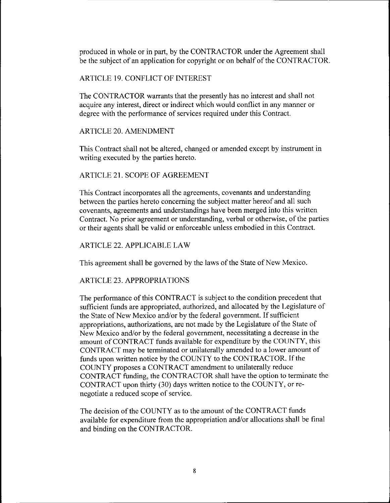produced in whole or in part, by the CONTRACTOR under the Agreement shall be the subject of an application for copyright or on behalf of the CONTRACTOR.

#### ARTICLE 19. CONFLICT OF INTEREST

The CONTRACTOR warrants that the presently has no interest and shall not acquire any interest, direct or indirect which would conflict in any manner or degree with the performance of services required under this Contract.

#### ARTICLE 20. AMENDMENT

This Contract shall not be altered, changed or amended except by instrument in writing executed by the parties hereto.

#### ARTICLE 21. SCOPE OF AGREEMENT

This Contract incorporates all the agreements, covenants and understanding between the parties hereto concerning the subject matter hereof and all such covenants, agreements and understandings have been merged into this written Contract. No prior agreement or understanding, verbal or otherwise, of the parties or their agents shall be valid or enforceable unless embodied in this Contract.

#### ARTICLE 22. APPLICABLE LAW

This agreement shall be governed by the laws of the State of New Mexico.

#### ARTICLE 23. APPROPRIATIONS

The performance of this CONTRACT is subject to the condition precedent that sufficient funds are appropriated, authorized, and allocated by the Legislature of the State of New Mexico and/or by the federal government. If sufficient appropriations, authorizations, are not made by the Legislature of the State of New Mexico and/or by the federal government, necessitating a decrease in the amount of CONTRACT funds available for expenditure by the COUNTY, this CONTRACT may be terminated or unilaterally amended to a lower amount of funds upon written notice by the COUNTY to the CONTRACTOR. If the COUNTY proposes a CONTRACT amendment to unilaterally reduce CONTRACT funding, the CONTRACTOR shall have the option to terminate the CONTRACT upon thirty (30) days written notice to the COUNTY, or renegotiate a reduced scope of service.

The decision of the COUNTY as to the amount of the CONTRACT funds available for expenditure from the appropriation and/or allocations shall be final and binding on the CONTRACTOR.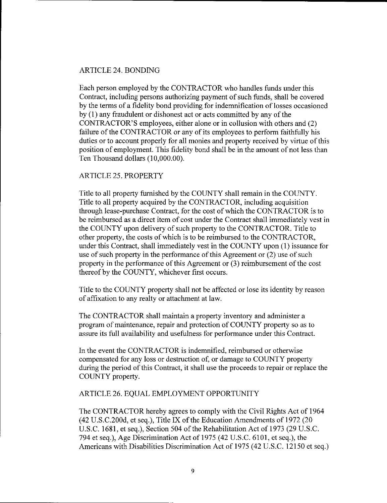#### ARTICLE 24. BONDING

Each person employed by the CONTRACTOR who handles funds under this Contract, including persons authorizing payment of such funds, shall be covered by the terms of a fidelity bond providing for indemnification of losses occasioned by (1) any fraudulent or dishonest act or acts committed by any of the CONTRACTOR'S employees, either alone or in collusion with others and (2) failure of the CONTRACTOR or any of its employees to perform faithfully his duties or to account properly for all monies and property received by virtue of this position of employment. This fidelity bond shall be in the amount of not less than Ten Thousand dollars (10,000.00).

#### ARTICLE 25. PROPERTY

Title to all property furnished by the COUNTY shall remain in the COUNTY. Title to all property acquired by the CONTRACTOR, including acquisition through lease-purchase Contract, for the cost of which the CONTRACTOR is to be reimbursed as a direct item of cost under the Contract shall immediately vest in the COUNTY upon delivery of such property to the CONTRACTOR. Title to other property, the costs of which is to be reimbursed to the CONTRACTOR, under this Contract, shall immediately vest in the COUNTY upon (1) issuance for use of such property in the performance of this Agreement or (2) use of such property in the performance of this Agreement or (3) reimbursement of the cost thereof by the COUNTY, whichever first occurs.

Title to the COUNTY property shall not be affected or lose its identity by reason of affixation to any realty or attachment at law.

The CONTRACTOR shall maintain a property inventory and administer a program of maintenance, repair and protection of COUNTY property so as to assure its full availability and usefulness for performance under this Contract.

In the event the CONTRACTOR is indemnified, reimbursed or otherwise compensated for any loss or destruction of, or damage to COUNTY property during the period of this Contract, it shall use the proceeds to repair or replace the COUNTY property.

#### ARTICLE 26. EQUAL EMPLOYMENT OPPORTUNITY

The CONTRACTOR hereby agrees to comply with the Civil Rights Act of 1964 (42 U.S.C.200d, et seq.), Title IX of the Education Amendments of 1972 (20 U.S.C. 1681, et seq.), Section 504 of the Rehabilitation Act of 1973 (29 U.S.C. 794 et seq.), Age Discrimination Act of 1975 (42 U.S.C. 6101, et seq.), the Americans with Disabilities Discrimination Act of 1975 (42 U.S.C. 12150 et seq.)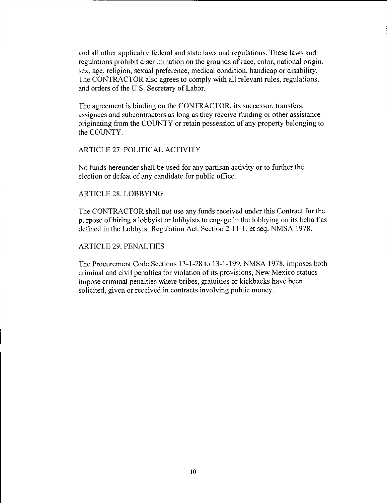and all other applicable federal and state laws and regulations. These laws and regulations prohibit discrimination on the grounds of race, color, national origin, sex, age, religion, sexual preference, medical condition, handicap or disability. The CONTRACTOR also agrees to comply with all relevant rules, regulations, and orders of the U.S. Secretary of Labor.

The agreement is binding on the CONTRACTOR, its successor, transfers, assignees and subcontractors as long as they receive funding or other assistance originating from the COUNTY or retain possession of any property belonging to the COUNTY.

#### ARTICLE 27. POLITICAL ACTIVITY

No funds hereunder shall be used for any partisan activity or to further the election or defeat of any candidate for public office.

#### ARTICLE 28. LOBBYING

The CONTRACTOR shall not use any funds received under this Contract for the purpose of hiring a lobbyist or lobbyists to engage in the lobbying on its behalf as defined in the Lobbyist Regulation Act, Section 2-11-1, et seq. NMSA I 978.

#### ARTICLE 29. PENALTIES

The Procurement Code Sections 13-1-28 to 13-1-199, NMSA 1978, imposes both criminal and civil penalties for violation of its provisions, New Mexico statues impose criminal penalties where bribes, gratuities or kickbacks have been solicited, given or received in contracts involving public money.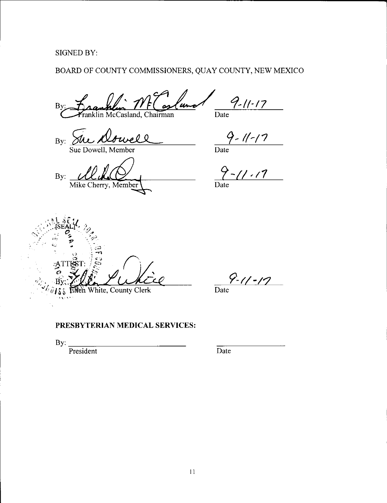SIGNED BY:

## BOARD OF COUNTY COMMISSIONERS, QUAY COUNTY, NEW MEXICO

 $9 - 11 - 17$ l un  $B<sub>1</sub>$ Date klin McCasland, Chairman

 $By:~\overbrace{\text{She Abwell}}$ 

Sue Dowell, Member

 $By:$ Mike Cherry, Member

Date

*7-11-11* 

Date

 $\mathbb{C}$  is  $\mathbb{R}$  if  $\mathbb{C}$  ,  $\mathbb{C}$ r-:-,',,.··· . ; *0~* . ·, *-:;,.\_;;\_* it,1 **y** ,, '~ .::::.) **i -n**  White, County Clerk ten

**9-t/-l?**  Date

#### **PRESBYTERIAN MEDICAL SERVICES:**

 $\frac{1}{2}$  By:  $\frac{1}{2}$  President President

Date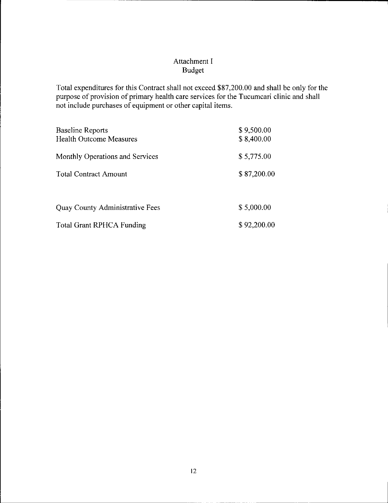#### Attachment I Budget

Total expenditures for this Contract shall not exceed \$87,200.00 and shall be only for the purpose of provision of primary health care services for the Tucumcari clinic and shall not include purchases of equipment or other capital items.

| <b>Baseline Reports</b><br><b>Health Outcome Measures</b> | \$9,500.00<br>\$8,400.00 |
|-----------------------------------------------------------|--------------------------|
| Monthly Operations and Services                           | \$5,775.00               |
| <b>Total Contract Amount</b>                              | \$87,200.00              |
|                                                           |                          |
| <b>Quay County Administrative Fees</b>                    | \$5,000.00               |
| <b>Total Grant RPHCA Funding</b>                          | \$92,200.00              |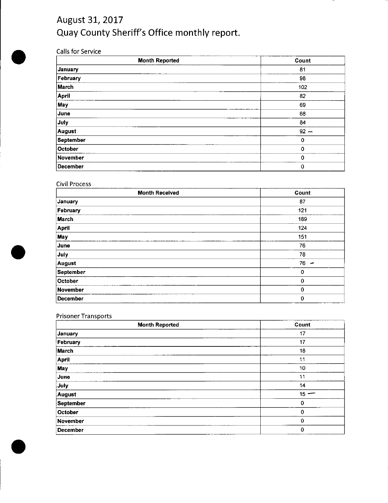# August 31, 2017 Quay County Sheriff's Office monthly report.

#### Calls for Service

| <b>Month Reported</b> | Count       |
|-----------------------|-------------|
| January               | 81          |
| February              | 98          |
| March                 | 102         |
| April                 | 82          |
| May                   | 69          |
| June                  | 68          |
| July                  | 84          |
| August                | $92 -$      |
| <b>September</b>      | 0           |
| October               | 0           |
| November              | $\mathbf 0$ |
| December              | 0           |

#### Civil Process

| <b>Month Received</b> | Count  |
|-----------------------|--------|
| January               | 87     |
| February              | 121    |
| March                 | 189    |
| <b>April</b>          | 124    |
| <b>May</b>            | 151    |
| June                  | 76     |
| July                  | 78     |
| August                | $76 -$ |
| <b>September</b>      | 0      |
| October               | 0      |
| November              | 0      |
| December              | 0      |

## Prisoner Transports

| <b>Month Reported</b> | Count       |
|-----------------------|-------------|
| January               | 17          |
| February              | 17          |
| March                 | 18          |
| April                 | 11          |
| May                   | 10          |
| June                  | 11          |
| July                  | 14          |
| August                | $15 -$      |
| <b>September</b>      | 0           |
| October               | 0           |
| November              | $\mathbf 0$ |
| <b>December</b>       | $\mathbf 0$ |



•